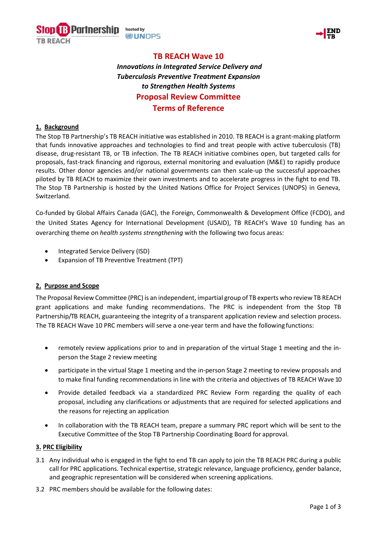



# **TB REACH Wave 10** *Innovations in Integrated Service Delivery and Tuberculosis Preventive Treatment Expansion to Strengthen Health Systems* **Proposal Review Committee Terms of Reference**

## **1. Background**

The Stop TB Partnership's TB REACH initiative was established in 2010. TB REACH is a grant-making platform that funds innovative approaches and technologies to find and treat people with active tuberculosis (TB) disease, drug-resistant TB, or TB infection. The TB REACH initiative combines open, but targeted calls for proposals, fast-track financing and rigorous, external monitoring and evaluation (M&E) to rapidly produce results. Other donor agencies and/or national governments can then scale-up the successful approaches piloted by TB REACH to maximize their own investments and to accelerate progress in the fight to end TB. The Stop TB Partnership is hosted by the United Nations Office for Project Services (UNOPS) in Geneva, Switzerland.

Co-funded by Global Affairs Canada (GAC), the Foreign, Commonwealth & Development Office (FCDO), and the United States Agency for International Development (USAID), TB REACH's Wave 10 funding has an overarching theme on *health systems strengthening* with the following two focus areas:

- Integrated Service Delivery (ISD)
- Expansion of TB Preventive Treatment (TPT)

## **2. Purpose and Scope**

The Proposal Review Committee (PRC) is an independent, impartial group of TB experts who review TB REACH grant applications and make funding recommendations. The PRC is independent from the Stop TB Partnership/TB REACH, guaranteeing the integrity of a transparent application review and selection process. The TB REACH Wave 10 PRC members will serve a one-year term and have the following functions:

- remotely review applications prior to and in preparation of the virtual Stage 1 meeting and the inperson the Stage 2 review meeting
- participate in the virtual Stage 1 meeting and the in-person Stage 2 meeting to review proposals and to make final funding recommendations in line with the criteria and objectives of TB REACH Wave 10
- Provide detailed feedback via a standardized PRC Review Form regarding the quality of each proposal, including any clarifications or adjustments that are required for selected applications and the reasons for rejecting an application
- In collaboration with the TB REACH team, prepare a summary PRC report which will be sent to the Executive Committee of the Stop TB Partnership Coordinating Board for approval.

## **3. PRC Eligibility**

- 3.1 Any individual who is engaged in the fight to end TB can apply to join the TB REACH PRC during a public call for PRC applications. Technical expertise, strategic relevance, language proficiency, gender balance, and geographic representation will be considered when screening applications.
- 3.2 PRC members should be available for the following dates: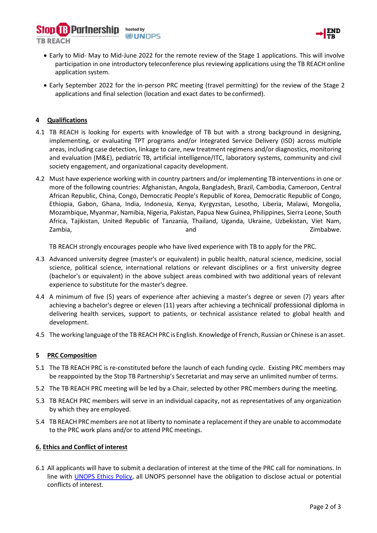



- Early to Mid- May to Mid-June 2022 for the remote review of the Stage 1 applications. This will involve participation in one introductory teleconference plus reviewing applications using the TB REACH online application system.
- Early September 2022 for the in-person PRC meeting (travel permitting) for the review of the Stage 2 applications and final selection (location and exact dates to be confirmed).

## **4 Qualifications**

- 4.1 TB REACH is looking for experts with knowledge of TB but with a strong background in designing, implementing, or evaluating TPT programs and/or Integrated Service Delivery (ISD) across multiple areas, including case detection, linkage to care, new treatment regimens and/or diagnostics, monitoring and evaluation (M&E), pediatric TB, artificial intelligence/ITC, laboratory systems, community and civil society engagement, and organizational capacity development.
- 4.2 Must have experience working with in country partners and/or implementing TB interventions in one or more of the following countries: Afghanistan, Angola, Bangladesh, Brazil, Cambodia, Cameroon, Central African Republic, China, Congo, Democratic People's Republic of Korea, Democratic Republic of Congo, Ethiopia, Gabon, Ghana, India, Indonesia, Kenya, Kyrgyzstan, Lesotho, Liberia, Malawi, Mongolia, Mozambique, Myanmar, Namibia, Nigeria, Pakistan, Papua New Guinea, Philippines, Sierra Leone, South Africa, Tajikistan, United Republic of Tanzania, Thailand, Uganda, Ukraine, Uzbekistan, Viet Nam, Zambia, and Zimbabwe.

TB REACH strongly encourages people who have lived experience with TB to apply for the PRC.

- 4.3 Advanced university degree (master's or equivalent) in public health, natural science, medicine, social science, political science, international relations or relevant disciplines or a first university degree (bachelor's or equivalent) in the above subject areas combined with two additional years of relevant experience to substitute for the master's degree.
- 4.4 A minimum of five (5) years of experience after achieving a master's degree or seven (7) years after achieving a bachelor's degree or eleven (11) years after achieving a technical/ professional diploma in delivering health services, support to patients, or technical assistance related to global health and development.
- 4.5 The working language of the TB REACH PRC is English. Knowledge of French, Russian or Chinese is an asset.

## **5 PRC Composition**

- 5.1 The TB REACH PRC is re-constituted before the launch of each funding cycle. Existing PRC members may be reappointed by the Stop TB Partnership's Secretariat and may serve an unlimited number of terms.
- 5.2 The TB REACH PRC meeting will be led by a Chair, selected by other PRCmembers during the meeting.
- 5.3 TB REACH PRC members will serve in an individual capacity, not as representatives of any organization by which they are employed.
- 5.4 TB REACH PRC members are not at liberty to nominate a replacement if they are unable to accommodate to the PRC work plans and/or to attend PRC meetings.

## **6. Ethics and Conflict of interest**

6.1 All applicants will have to submit a declaration of interest at the time of the PRC call for nominations. In line with [UNOPS Ethics Policy,](https://drive.google.com/file/d/1LJFeFLSyt_f6iC5fxDCGCZ5lCVZl-dLB/view) all UNOPS personnel have the obligation to disclose actual or potential conflicts of interest.